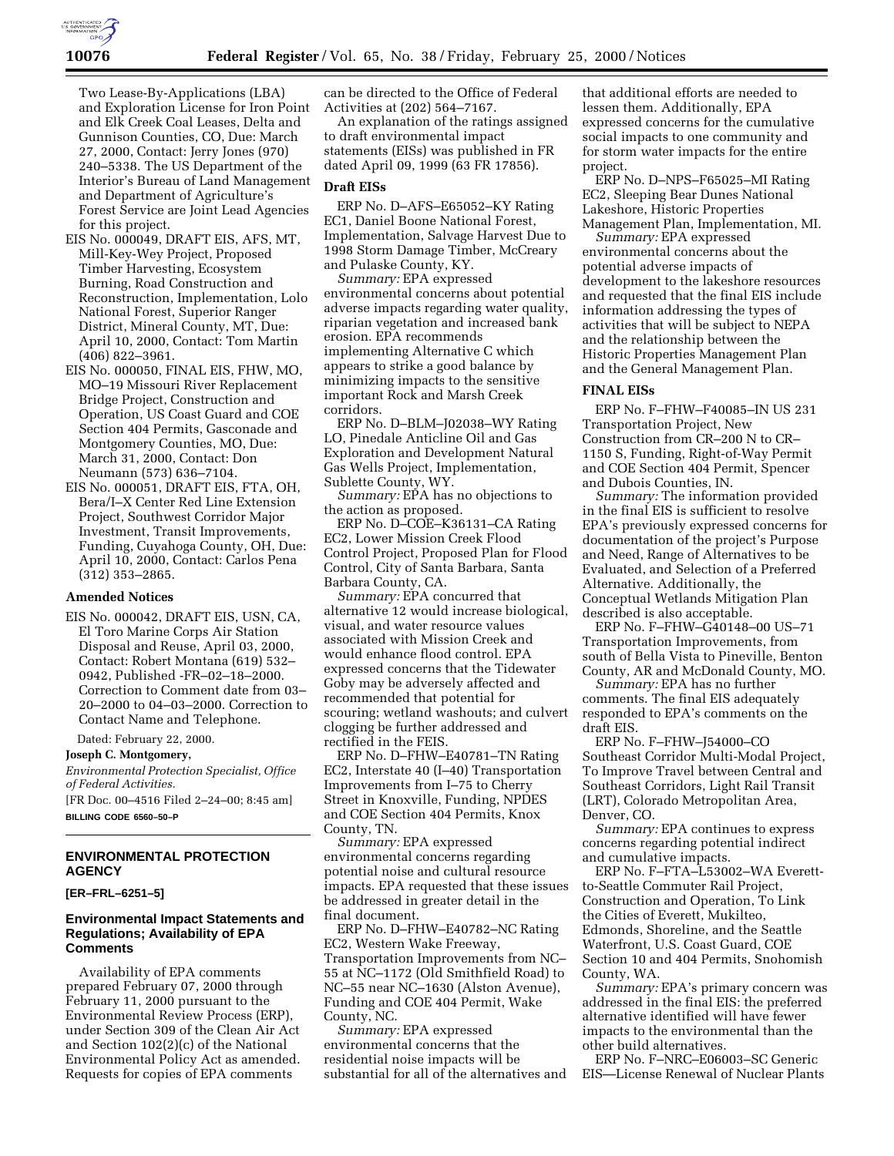

Two Lease-By-Applications (LBA) and Exploration License for Iron Point and Elk Creek Coal Leases, Delta and Gunnison Counties, CO, Due: March 27, 2000, Contact: Jerry Jones (970) 240–5338. The US Department of the Interior's Bureau of Land Management and Department of Agriculture's Forest Service are Joint Lead Agencies for this project.

- EIS No. 000049, DRAFT EIS, AFS, MT, Mill-Key-Wey Project, Proposed Timber Harvesting, Ecosystem Burning, Road Construction and Reconstruction, Implementation, Lolo National Forest, Superior Ranger District, Mineral County, MT, Due: April 10, 2000, Contact: Tom Martin (406) 822–3961.
- EIS No. 000050, FINAL EIS, FHW, MO, MO–19 Missouri River Replacement Bridge Project, Construction and Operation, US Coast Guard and COE Section 404 Permits, Gasconade and Montgomery Counties, MO, Due: March 31, 2000, Contact: Don Neumann (573) 636–7104.
- EIS No. 000051, DRAFT EIS, FTA, OH, Bera/I–X Center Red Line Extension Project, Southwest Corridor Major Investment, Transit Improvements, Funding, Cuyahoga County, OH, Due: April 10, 2000, Contact: Carlos Pena (312) 353–2865.

### **Amended Notices**

EIS No. 000042, DRAFT EIS, USN, CA, El Toro Marine Corps Air Station Disposal and Reuse, April 03, 2000, Contact: Robert Montana (619) 532– 0942, Published -FR–02–18–2000. Correction to Comment date from 03– 20–2000 to 04–03–2000. Correction to Contact Name and Telephone.

Dated: February 22, 2000.

### **Joseph C. Montgomery,**

*Environmental Protection Specialist, Office of Federal Activities.*

[FR Doc. 00–4516 Filed 2–24–00; 8:45 am] **BILLING CODE 6560–50–P**

# **ENVIRONMENTAL PROTECTION AGENCY**

**[ER–FRL–6251–5]**

### **Environmental Impact Statements and Regulations; Availability of EPA Comments**

Availability of EPA comments prepared February 07, 2000 through February 11, 2000 pursuant to the Environmental Review Process (ERP), under Section 309 of the Clean Air Act and Section 102(2)(c) of the National Environmental Policy Act as amended. Requests for copies of EPA comments

can be directed to the Office of Federal Activities at (202) 564–7167.

An explanation of the ratings assigned to draft environmental impact statements (EISs) was published in FR dated April 09, 1999 (63 FR 17856).

## **Draft EISs**

ERP No. D–AFS–E65052–KY Rating EC1, Daniel Boone National Forest, Implementation, Salvage Harvest Due to 1998 Storm Damage Timber, McCreary and Pulaske County, KY.

*Summary:* EPA expressed environmental concerns about potential adverse impacts regarding water quality, riparian vegetation and increased bank erosion. EPA recommends implementing Alternative C which appears to strike a good balance by minimizing impacts to the sensitive important Rock and Marsh Creek corridors.

ERP No. D–BLM–J02038–WY Rating LO, Pinedale Anticline Oil and Gas Exploration and Development Natural Gas Wells Project, Implementation, Sublette County, WY.

*Summary:* EPA has no objections to the action as proposed.

ERP No. D–COE–K36131–CA Rating EC2, Lower Mission Creek Flood Control Project, Proposed Plan for Flood Control, City of Santa Barbara, Santa Barbara County, CA.

*Summary:* EPA concurred that alternative 12 would increase biological, visual, and water resource values associated with Mission Creek and would enhance flood control. EPA expressed concerns that the Tidewater Goby may be adversely affected and recommended that potential for scouring; wetland washouts; and culvert clogging be further addressed and rectified in the FEIS.

ERP No. D–FHW–E40781–TN Rating EC2, Interstate 40 (I–40) Transportation Improvements from I–75 to Cherry Street in Knoxville, Funding, NPDES and COE Section 404 Permits, Knox County, TN.

*Summary:* EPA expressed environmental concerns regarding potential noise and cultural resource impacts. EPA requested that these issues be addressed in greater detail in the final document.

ERP No. D–FHW–E40782–NC Rating EC2, Western Wake Freeway, Transportation Improvements from NC– 55 at NC–1172 (Old Smithfield Road) to NC–55 near NC–1630 (Alston Avenue), Funding and COE 404 Permit, Wake County, NC.

*Summary:* EPA expressed environmental concerns that the residential noise impacts will be substantial for all of the alternatives and

that additional efforts are needed to lessen them. Additionally, EPA expressed concerns for the cumulative social impacts to one community and for storm water impacts for the entire project.

ERP No. D–NPS–F65025–MI Rating EC2, Sleeping Bear Dunes National Lakeshore, Historic Properties Management Plan, Implementation, MI.

*Summary:* EPA expressed environmental concerns about the potential adverse impacts of development to the lakeshore resources and requested that the final EIS include information addressing the types of activities that will be subject to NEPA and the relationship between the Historic Properties Management Plan and the General Management Plan.

### **FINAL EISs**

ERP No. F–FHW–F40085–IN US 231 Transportation Project, New Construction from CR–200 N to CR– 1150 S, Funding, Right-of-Way Permit and COE Section 404 Permit, Spencer and Dubois Counties, IN.

*Summary:* The information provided in the final EIS is sufficient to resolve EPA's previously expressed concerns for documentation of the project's Purpose and Need, Range of Alternatives to be Evaluated, and Selection of a Preferred Alternative. Additionally, the Conceptual Wetlands Mitigation Plan described is also acceptable.

ERP No. F–FHW–G40148–00 US–71 Transportation Improvements, from south of Bella Vista to Pineville, Benton County, AR and McDonald County, MO.

*Summary:* EPA has no further comments. The final EIS adequately responded to EPA's comments on the draft EIS.

ERP No. F–FHW–J54000–CO Southeast Corridor Multi-Modal Project, To Improve Travel between Central and Southeast Corridors, Light Rail Transit (LRT), Colorado Metropolitan Area, Denver, CO.

*Summary:* EPA continues to express concerns regarding potential indirect and cumulative impacts.

ERP No. F–FTA–L53002–WA Everettto-Seattle Commuter Rail Project, Construction and Operation, To Link the Cities of Everett, Mukilteo, Edmonds, Shoreline, and the Seattle Waterfront, U.S. Coast Guard, COE Section 10 and 404 Permits, Snohomish County, WA.

*Summary:* EPA's primary concern was addressed in the final EIS: the preferred alternative identified will have fewer impacts to the environmental than the other build alternatives.

ERP No. F–NRC–E06003–SC Generic EIS—License Renewal of Nuclear Plants